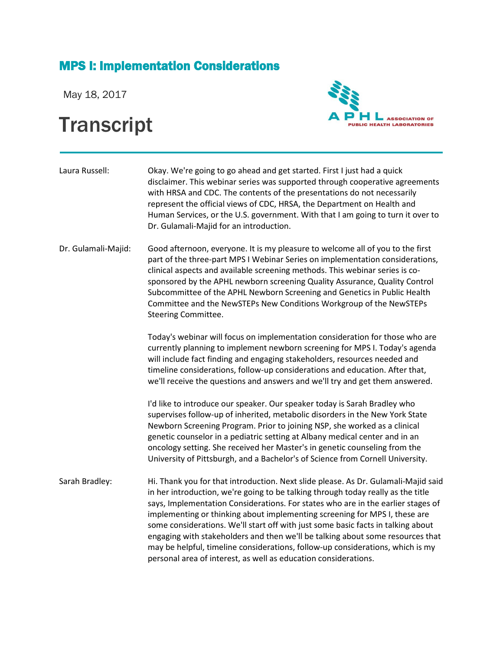## MPS I: Implementation Considerations

May 18, 2017

## **Transcript**



| Laura Russell:      | Okay. We're going to go ahead and get started. First I just had a quick<br>disclaimer. This webinar series was supported through cooperative agreements<br>with HRSA and CDC. The contents of the presentations do not necessarily<br>represent the official views of CDC, HRSA, the Department on Health and<br>Human Services, or the U.S. government. With that I am going to turn it over to<br>Dr. Gulamali-Majid for an introduction.                                                                    |
|---------------------|----------------------------------------------------------------------------------------------------------------------------------------------------------------------------------------------------------------------------------------------------------------------------------------------------------------------------------------------------------------------------------------------------------------------------------------------------------------------------------------------------------------|
| Dr. Gulamali-Majid: | Good afternoon, everyone. It is my pleasure to welcome all of you to the first<br>part of the three-part MPS I Webinar Series on implementation considerations,<br>clinical aspects and available screening methods. This webinar series is co-<br>sponsored by the APHL newborn screening Quality Assurance, Quality Control<br>Subcommittee of the APHL Newborn Screening and Genetics in Public Health<br>Committee and the NewSTEPs New Conditions Workgroup of the NewSTEPs<br><b>Steering Committee.</b> |
|                     | Today's webinar will focus on implementation consideration for those who are<br>currently planning to implement newborn screening for MPS I. Today's agenda<br>will include fact finding and engaging stakeholders, resources needed and<br>timeline considerations, follow-up considerations and education. After that,<br>we'll receive the questions and answers and we'll try and get them answered.                                                                                                       |
|                     | I'd like to introduce our speaker. Our speaker today is Sarah Bradley who<br>supervises follow-up of inherited, metabolic disorders in the New York State<br>Newborn Screening Program. Prior to joining NSP, she worked as a clinical<br>genetic counselor in a pediatric setting at Albany medical center and in an<br>oncology setting. She received her Master's in genetic counseling from the<br>University of Pittsburgh, and a Bachelor's of Science from Cornell University.                          |
| Sarah Bradley:      | Hi. Thank you for that introduction. Next slide please. As Dr. Gulamali-Majid said<br>in her introduction, we're going to be talking through today really as the title<br>says, Implementation Considerations. For states who are in the earlier stages of                                                                                                                                                                                                                                                     |

implementing or thinking about implementing screening for MPS I, these are some considerations. We'll start off with just some basic facts in talking about engaging with stakeholders and then we'll be talking about some resources that may be helpful, timeline considerations, follow-up considerations, which is my

personal area of interest, as well as education considerations.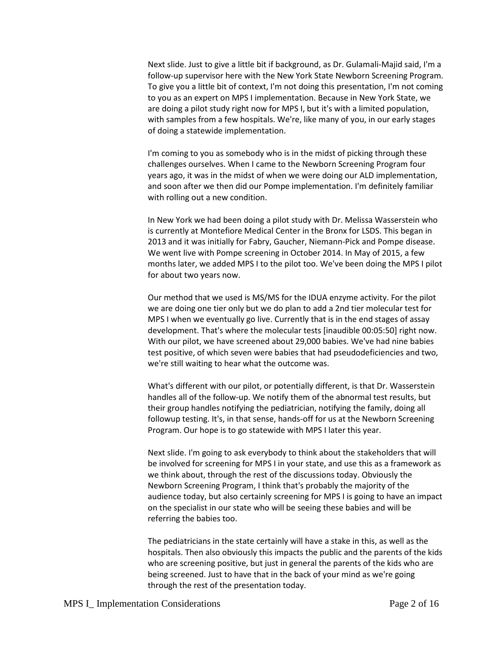Next slide. Just to give a little bit if background, as Dr. Gulamali-Majid said, I'm a follow-up supervisor here with the New York State Newborn Screening Program. To give you a little bit of context, I'm not doing this presentation, I'm not coming to you as an expert on MPS I implementation. Because in New York State, we are doing a pilot study right now for MPS I, but it's with a limited population, with samples from a few hospitals. We're, like many of you, in our early stages of doing a statewide implementation.

I'm coming to you as somebody who is in the midst of picking through these challenges ourselves. When I came to the Newborn Screening Program four years ago, it was in the midst of when we were doing our ALD implementation, and soon after we then did our Pompe implementation. I'm definitely familiar with rolling out a new condition.

In New York we had been doing a pilot study with Dr. Melissa Wasserstein who is currently at Montefiore Medical Center in the Bronx for LSDS. This began in 2013 and it was initially for Fabry, Gaucher, Niemann-Pick and Pompe disease. We went live with Pompe screening in October 2014. In May of 2015, a few months later, we added MPS I to the pilot too. We've been doing the MPS I pilot for about two years now.

Our method that we used is MS/MS for the IDUA enzyme activity. For the pilot we are doing one tier only but we do plan to add a 2nd tier molecular test for MPS I when we eventually go live. Currently that is in the end stages of assay development. That's where the molecular tests [inaudible 00:05:50] right now. With our pilot, we have screened about 29,000 babies. We've had nine babies test positive, of which seven were babies that had pseudodeficiencies and two, we're still waiting to hear what the outcome was.

What's different with our pilot, or potentially different, is that Dr. Wasserstein handles all of the follow-up. We notify them of the abnormal test results, but their group handles notifying the pediatrician, notifying the family, doing all followup testing. It's, in that sense, hands-off for us at the Newborn Screening Program. Our hope is to go statewide with MPS I later this year.

Next slide. I'm going to ask everybody to think about the stakeholders that will be involved for screening for MPS I in your state, and use this as a framework as we think about, through the rest of the discussions today. Obviously the Newborn Screening Program, I think that's probably the majority of the audience today, but also certainly screening for MPS I is going to have an impact on the specialist in our state who will be seeing these babies and will be referring the babies too.

The pediatricians in the state certainly will have a stake in this, as well as the hospitals. Then also obviously this impacts the public and the parents of the kids who are screening positive, but just in general the parents of the kids who are being screened. Just to have that in the back of your mind as we're going through the rest of the presentation today.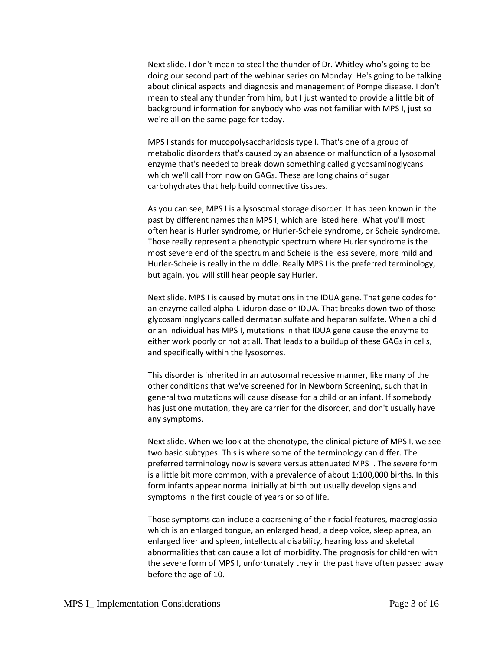Next slide. I don't mean to steal the thunder of Dr. Whitley who's going to be doing our second part of the webinar series on Monday. He's going to be talking about clinical aspects and diagnosis and management of Pompe disease. I don't mean to steal any thunder from him, but I just wanted to provide a little bit of background information for anybody who was not familiar with MPS I, just so we're all on the same page for today.

MPS I stands for mucopolysaccharidosis type I. That's one of a group of metabolic disorders that's caused by an absence or malfunction of a lysosomal enzyme that's needed to break down something called glycosaminoglycans which we'll call from now on GAGs. These are long chains of sugar carbohydrates that help build connective tissues.

As you can see, MPS I is a lysosomal storage disorder. It has been known in the past by different names than MPS I, which are listed here. What you'll most often hear is Hurler syndrome, or Hurler-Scheie syndrome, or Scheie syndrome. Those really represent a phenotypic spectrum where Hurler syndrome is the most severe end of the spectrum and Scheie is the less severe, more mild and Hurler-Scheie is really in the middle. Really MPS I is the preferred terminology, but again, you will still hear people say Hurler.

Next slide. MPS I is caused by mutations in the IDUA gene. That gene codes for an enzyme called alpha-L-iduronidase or IDUA. That breaks down two of those glycosaminoglycans called dermatan sulfate and heparan sulfate. When a child or an individual has MPS I, mutations in that IDUA gene cause the enzyme to either work poorly or not at all. That leads to a buildup of these GAGs in cells, and specifically within the lysosomes.

This disorder is inherited in an autosomal recessive manner, like many of the other conditions that we've screened for in Newborn Screening, such that in general two mutations will cause disease for a child or an infant. If somebody has just one mutation, they are carrier for the disorder, and don't usually have any symptoms.

Next slide. When we look at the phenotype, the clinical picture of MPS I, we see two basic subtypes. This is where some of the terminology can differ. The preferred terminology now is severe versus attenuated MPS I. The severe form is a little bit more common, with a prevalence of about 1:100,000 births. In this form infants appear normal initially at birth but usually develop signs and symptoms in the first couple of years or so of life.

Those symptoms can include a coarsening of their facial features, macroglossia which is an enlarged tongue, an enlarged head, a deep voice, sleep apnea, an enlarged liver and spleen, intellectual disability, hearing loss and skeletal abnormalities that can cause a lot of morbidity. The prognosis for children with the severe form of MPS I, unfortunately they in the past have often passed away before the age of 10.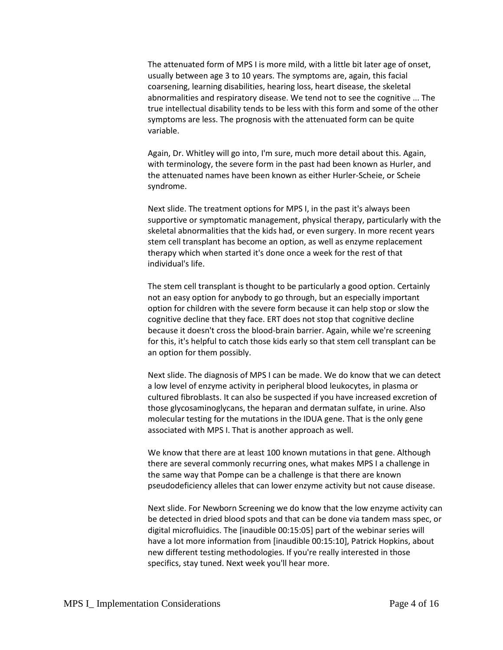The attenuated form of MPS I is more mild, with a little bit later age of onset, usually between age 3 to 10 years. The symptoms are, again, this facial coarsening, learning disabilities, hearing loss, heart disease, the skeletal abnormalities and respiratory disease. We tend not to see the cognitive ... The true intellectual disability tends to be less with this form and some of the other symptoms are less. The prognosis with the attenuated form can be quite variable.

Again, Dr. Whitley will go into, I'm sure, much more detail about this. Again, with terminology, the severe form in the past had been known as Hurler, and the attenuated names have been known as either Hurler-Scheie, or Scheie syndrome.

Next slide. The treatment options for MPS I, in the past it's always been supportive or symptomatic management, physical therapy, particularly with the skeletal abnormalities that the kids had, or even surgery. In more recent years stem cell transplant has become an option, as well as enzyme replacement therapy which when started it's done once a week for the rest of that individual's life.

The stem cell transplant is thought to be particularly a good option. Certainly not an easy option for anybody to go through, but an especially important option for children with the severe form because it can help stop or slow the cognitive decline that they face. ERT does not stop that cognitive decline because it doesn't cross the blood-brain barrier. Again, while we're screening for this, it's helpful to catch those kids early so that stem cell transplant can be an option for them possibly.

Next slide. The diagnosis of MPS I can be made. We do know that we can detect a low level of enzyme activity in peripheral blood leukocytes, in plasma or cultured fibroblasts. It can also be suspected if you have increased excretion of those glycosaminoglycans, the heparan and dermatan sulfate, in urine. Also molecular testing for the mutations in the IDUA gene. That is the only gene associated with MPS I. That is another approach as well.

We know that there are at least 100 known mutations in that gene. Although there are several commonly recurring ones, what makes MPS I a challenge in the same way that Pompe can be a challenge is that there are known pseudodeficiency alleles that can lower enzyme activity but not cause disease.

Next slide. For Newborn Screening we do know that the low enzyme activity can be detected in dried blood spots and that can be done via tandem mass spec, or digital microfluidics. The [inaudible 00:15:05] part of the webinar series will have a lot more information from [inaudible 00:15:10], Patrick Hopkins, about new different testing methodologies. If you're really interested in those specifics, stay tuned. Next week you'll hear more.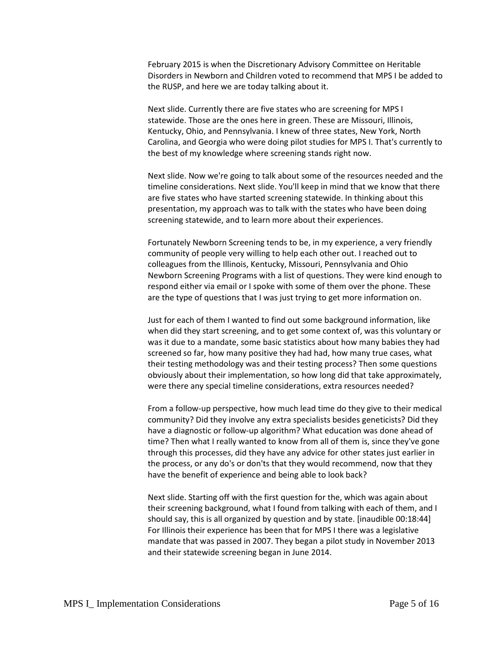February 2015 is when the Discretionary Advisory Committee on Heritable Disorders in Newborn and Children voted to recommend that MPS I be added to the RUSP, and here we are today talking about it.

Next slide. Currently there are five states who are screening for MPS I statewide. Those are the ones here in green. These are Missouri, Illinois, Kentucky, Ohio, and Pennsylvania. I knew of three states, New York, North Carolina, and Georgia who were doing pilot studies for MPS I. That's currently to the best of my knowledge where screening stands right now.

Next slide. Now we're going to talk about some of the resources needed and the timeline considerations. Next slide. You'll keep in mind that we know that there are five states who have started screening statewide. In thinking about this presentation, my approach was to talk with the states who have been doing screening statewide, and to learn more about their experiences.

Fortunately Newborn Screening tends to be, in my experience, a very friendly community of people very willing to help each other out. I reached out to colleagues from the Illinois, Kentucky, Missouri, Pennsylvania and Ohio Newborn Screening Programs with a list of questions. They were kind enough to respond either via email or I spoke with some of them over the phone. These are the type of questions that I was just trying to get more information on.

Just for each of them I wanted to find out some background information, like when did they start screening, and to get some context of, was this voluntary or was it due to a mandate, some basic statistics about how many babies they had screened so far, how many positive they had had, how many true cases, what their testing methodology was and their testing process? Then some questions obviously about their implementation, so how long did that take approximately, were there any special timeline considerations, extra resources needed?

From a follow-up perspective, how much lead time do they give to their medical community? Did they involve any extra specialists besides geneticists? Did they have a diagnostic or follow-up algorithm? What education was done ahead of time? Then what I really wanted to know from all of them is, since they've gone through this processes, did they have any advice for other states just earlier in the process, or any do's or don'ts that they would recommend, now that they have the benefit of experience and being able to look back?

Next slide. Starting off with the first question for the, which was again about their screening background, what I found from talking with each of them, and I should say, this is all organized by question and by state. [inaudible 00:18:44] For Illinois their experience has been that for MPS I there was a legislative mandate that was passed in 2007. They began a pilot study in November 2013 and their statewide screening began in June 2014.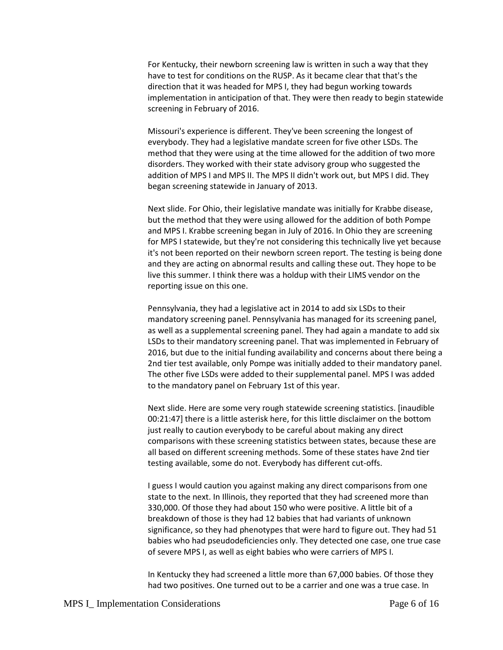For Kentucky, their newborn screening law is written in such a way that they have to test for conditions on the RUSP. As it became clear that that's the direction that it was headed for MPS I, they had begun working towards implementation in anticipation of that. They were then ready to begin statewide screening in February of 2016.

Missouri's experience is different. They've been screening the longest of everybody. They had a legislative mandate screen for five other LSDs. The method that they were using at the time allowed for the addition of two more disorders. They worked with their state advisory group who suggested the addition of MPS I and MPS II. The MPS II didn't work out, but MPS I did. They began screening statewide in January of 2013.

Next slide. For Ohio, their legislative mandate was initially for Krabbe disease, but the method that they were using allowed for the addition of both Pompe and MPS I. Krabbe screening began in July of 2016. In Ohio they are screening for MPS I statewide, but they're not considering this technically live yet because it's not been reported on their newborn screen report. The testing is being done and they are acting on abnormal results and calling these out. They hope to be live this summer. I think there was a holdup with their LIMS vendor on the reporting issue on this one.

Pennsylvania, they had a legislative act in 2014 to add six LSDs to their mandatory screening panel. Pennsylvania has managed for its screening panel, as well as a supplemental screening panel. They had again a mandate to add six LSDs to their mandatory screening panel. That was implemented in February of 2016, but due to the initial funding availability and concerns about there being a 2nd tier test available, only Pompe was initially added to their mandatory panel. The other five LSDs were added to their supplemental panel. MPS I was added to the mandatory panel on February 1st of this year.

Next slide. Here are some very rough statewide screening statistics. [inaudible 00:21:47] there is a little asterisk here, for this little disclaimer on the bottom just really to caution everybody to be careful about making any direct comparisons with these screening statistics between states, because these are all based on different screening methods. Some of these states have 2nd tier testing available, some do not. Everybody has different cut-offs.

I guess I would caution you against making any direct comparisons from one state to the next. In Illinois, they reported that they had screened more than 330,000. Of those they had about 150 who were positive. A little bit of a breakdown of those is they had 12 babies that had variants of unknown significance, so they had phenotypes that were hard to figure out. They had 51 babies who had pseudodeficiencies only. They detected one case, one true case of severe MPS I, as well as eight babies who were carriers of MPS I.

In Kentucky they had screened a little more than 67,000 babies. Of those they had two positives. One turned out to be a carrier and one was a true case. In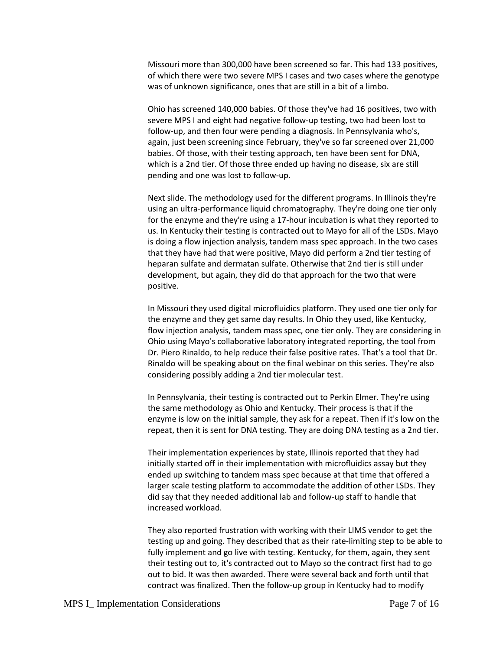Missouri more than 300,000 have been screened so far. This had 133 positives, of which there were two severe MPS I cases and two cases where the genotype was of unknown significance, ones that are still in a bit of a limbo.

Ohio has screened 140,000 babies. Of those they've had 16 positives, two with severe MPS I and eight had negative follow-up testing, two had been lost to follow-up, and then four were pending a diagnosis. In Pennsylvania who's, again, just been screening since February, they've so far screened over 21,000 babies. Of those, with their testing approach, ten have been sent for DNA, which is a 2nd tier. Of those three ended up having no disease, six are still pending and one was lost to follow-up.

Next slide. The methodology used for the different programs. In Illinois they're using an ultra-performance liquid chromatography. They're doing one tier only for the enzyme and they're using a 17-hour incubation is what they reported to us. In Kentucky their testing is contracted out to Mayo for all of the LSDs. Mayo is doing a flow injection analysis, tandem mass spec approach. In the two cases that they have had that were positive, Mayo did perform a 2nd tier testing of heparan sulfate and dermatan sulfate. Otherwise that 2nd tier is still under development, but again, they did do that approach for the two that were positive.

In Missouri they used digital microfluidics platform. They used one tier only for the enzyme and they get same day results. In Ohio they used, like Kentucky, flow injection analysis, tandem mass spec, one tier only. They are considering in Ohio using Mayo's collaborative laboratory integrated reporting, the tool from Dr. Piero Rinaldo, to help reduce their false positive rates. That's a tool that Dr. Rinaldo will be speaking about on the final webinar on this series. They're also considering possibly adding a 2nd tier molecular test.

In Pennsylvania, their testing is contracted out to Perkin Elmer. They're using the same methodology as Ohio and Kentucky. Their process is that if the enzyme is low on the initial sample, they ask for a repeat. Then if it's low on the repeat, then it is sent for DNA testing. They are doing DNA testing as a 2nd tier.

Their implementation experiences by state, Illinois reported that they had initially started off in their implementation with microfluidics assay but they ended up switching to tandem mass spec because at that time that offered a larger scale testing platform to accommodate the addition of other LSDs. They did say that they needed additional lab and follow-up staff to handle that increased workload.

They also reported frustration with working with their LIMS vendor to get the testing up and going. They described that as their rate-limiting step to be able to fully implement and go live with testing. Kentucky, for them, again, they sent their testing out to, it's contracted out to Mayo so the contract first had to go out to bid. It was then awarded. There were several back and forth until that contract was finalized. Then the follow-up group in Kentucky had to modify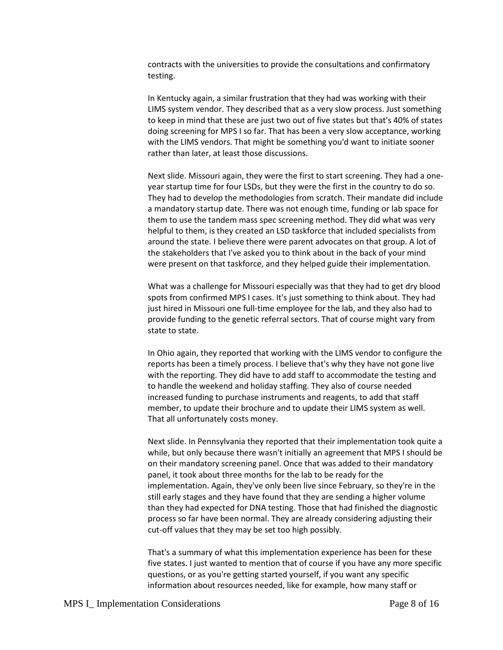contracts with the universities to provide the consultations and confirmatory testing.

In Kentucky again, a similar frustration that they had was working with their LIMS system vendor. They described that as a very slow process. Just something to keep in mind that these are just two out of five states but that's 40% of states doing screening for MPS I so far. That has been a very slow acceptance, working with the LIMS vendors. That might be something you'd want to initiate sooner rather than later, at least those discussions.

Next slide. Missouri again, they were the first to start screening. They had a oneyear startup time for four LSDs, but they were the first in the country to do so. They had to develop the methodologies from scratch. Their mandate did include a mandatory startup date. There was not enough time, funding or lab space for them to use the tandem mass spec screening method. They did what was very helpful to them, is they created an LSD taskforce that included specialists from around the state. I believe there were parent advocates on that group. A lot of the stakeholders that I've asked you to think about in the back of your mind were present on that taskforce, and they helped guide their implementation.

What was a challenge for Missouri especially was that they had to get dry blood spots from confirmed MPS I cases. It's just something to think about. They had just hired in Missouri one full-time employee for the lab, and they also had to provide funding to the genetic referral sectors. That of course might vary from state to state.

In Ohio again, they reported that working with the LIMS vendor to configure the reports has been a timely process. I believe that's why they have not gone live with the reporting. They did have to add staff to accommodate the testing and to handle the weekend and holiday staffing. They also of course needed increased funding to purchase instruments and reagents, to add that staff member, to update their brochure and to update their LIMS system as well. That all unfortunately costs money.

Next slide. In Pennsylvania they reported that their implementation took quite a while, but only because there wasn't initially an agreement that MPS I should be on their mandatory screening panel. Once that was added to their mandatory panel, it took about three months for the lab to be ready for the implementation. Again, they've only been live since February, so they're in the still early stages and they have found that they are sending a higher volume than they had expected for DNA testing. Those that had finished the diagnostic process so far have been normal. They are already considering adjusting their cut-off values that they may be set too high possibly.

That's a summary of what this implementation experience has been for these five states. I just wanted to mention that of course if you have any more specific questions, or as you're getting started yourself, if you want any specific information about resources needed, like for example, how many staff or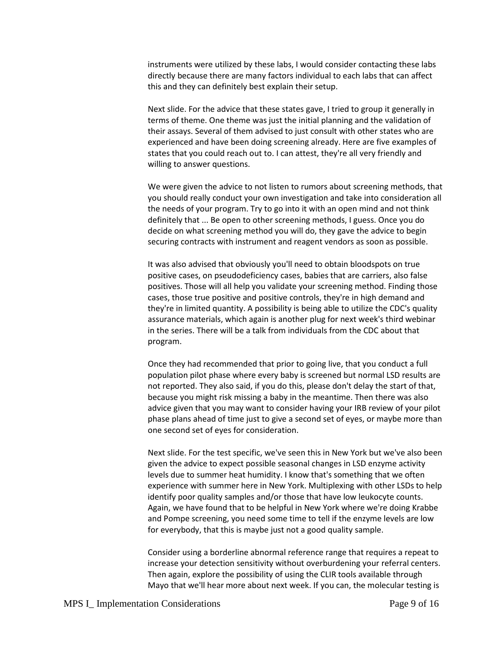instruments were utilized by these labs, I would consider contacting these labs directly because there are many factors individual to each labs that can affect this and they can definitely best explain their setup.

Next slide. For the advice that these states gave, I tried to group it generally in terms of theme. One theme was just the initial planning and the validation of their assays. Several of them advised to just consult with other states who are experienced and have been doing screening already. Here are five examples of states that you could reach out to. I can attest, they're all very friendly and willing to answer questions.

We were given the advice to not listen to rumors about screening methods, that you should really conduct your own investigation and take into consideration all the needs of your program. Try to go into it with an open mind and not think definitely that ... Be open to other screening methods, I guess. Once you do decide on what screening method you will do, they gave the advice to begin securing contracts with instrument and reagent vendors as soon as possible.

It was also advised that obviously you'll need to obtain bloodspots on true positive cases, on pseudodeficiency cases, babies that are carriers, also false positives. Those will all help you validate your screening method. Finding those cases, those true positive and positive controls, they're in high demand and they're in limited quantity. A possibility is being able to utilize the CDC's quality assurance materials, which again is another plug for next week's third webinar in the series. There will be a talk from individuals from the CDC about that program.

Once they had recommended that prior to going live, that you conduct a full population pilot phase where every baby is screened but normal LSD results are not reported. They also said, if you do this, please don't delay the start of that, because you might risk missing a baby in the meantime. Then there was also advice given that you may want to consider having your IRB review of your pilot phase plans ahead of time just to give a second set of eyes, or maybe more than one second set of eyes for consideration.

Next slide. For the test specific, we've seen this in New York but we've also been given the advice to expect possible seasonal changes in LSD enzyme activity levels due to summer heat humidity. I know that's something that we often experience with summer here in New York. Multiplexing with other LSDs to help identify poor quality samples and/or those that have low leukocyte counts. Again, we have found that to be helpful in New York where we're doing Krabbe and Pompe screening, you need some time to tell if the enzyme levels are low for everybody, that this is maybe just not a good quality sample.

Consider using a borderline abnormal reference range that requires a repeat to increase your detection sensitivity without overburdening your referral centers. Then again, explore the possibility of using the CLIR tools available through Mayo that we'll hear more about next week. If you can, the molecular testing is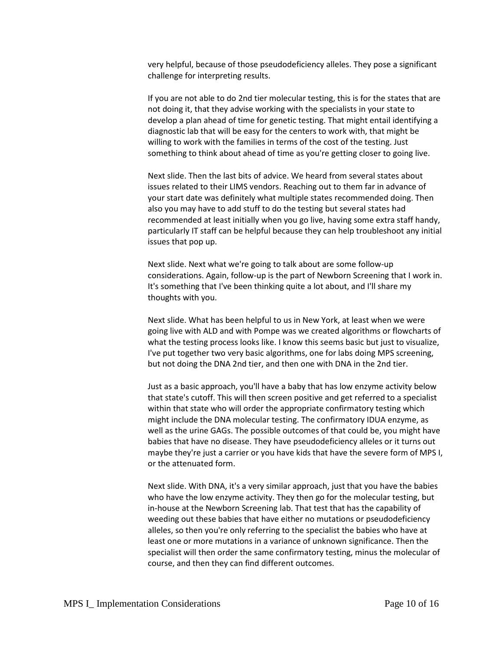very helpful, because of those pseudodeficiency alleles. They pose a significant challenge for interpreting results.

If you are not able to do 2nd tier molecular testing, this is for the states that are not doing it, that they advise working with the specialists in your state to develop a plan ahead of time for genetic testing. That might entail identifying a diagnostic lab that will be easy for the centers to work with, that might be willing to work with the families in terms of the cost of the testing. Just something to think about ahead of time as you're getting closer to going live.

Next slide. Then the last bits of advice. We heard from several states about issues related to their LIMS vendors. Reaching out to them far in advance of your start date was definitely what multiple states recommended doing. Then also you may have to add stuff to do the testing but several states had recommended at least initially when you go live, having some extra staff handy, particularly IT staff can be helpful because they can help troubleshoot any initial issues that pop up.

Next slide. Next what we're going to talk about are some follow-up considerations. Again, follow-up is the part of Newborn Screening that I work in. It's something that I've been thinking quite a lot about, and I'll share my thoughts with you.

Next slide. What has been helpful to us in New York, at least when we were going live with ALD and with Pompe was we created algorithms or flowcharts of what the testing process looks like. I know this seems basic but just to visualize, I've put together two very basic algorithms, one for labs doing MPS screening, but not doing the DNA 2nd tier, and then one with DNA in the 2nd tier.

Just as a basic approach, you'll have a baby that has low enzyme activity below that state's cutoff. This will then screen positive and get referred to a specialist within that state who will order the appropriate confirmatory testing which might include the DNA molecular testing. The confirmatory IDUA enzyme, as well as the urine GAGs. The possible outcomes of that could be, you might have babies that have no disease. They have pseudodeficiency alleles or it turns out maybe they're just a carrier or you have kids that have the severe form of MPS I, or the attenuated form.

Next slide. With DNA, it's a very similar approach, just that you have the babies who have the low enzyme activity. They then go for the molecular testing, but in-house at the Newborn Screening lab. That test that has the capability of weeding out these babies that have either no mutations or pseudodeficiency alleles, so then you're only referring to the specialist the babies who have at least one or more mutations in a variance of unknown significance. Then the specialist will then order the same confirmatory testing, minus the molecular of course, and then they can find different outcomes.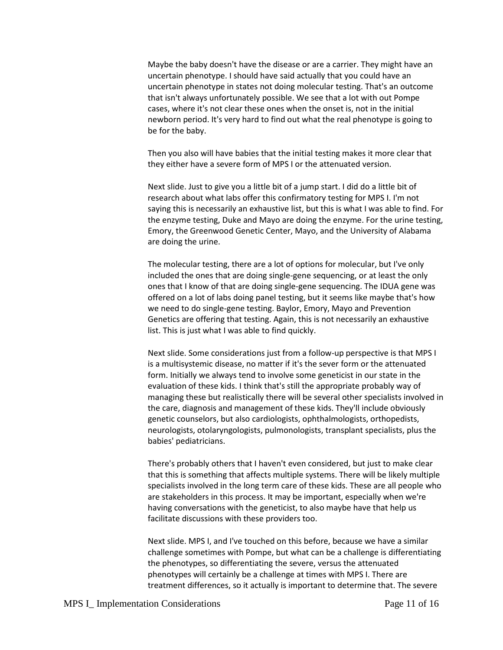Maybe the baby doesn't have the disease or are a carrier. They might have an uncertain phenotype. I should have said actually that you could have an uncertain phenotype in states not doing molecular testing. That's an outcome that isn't always unfortunately possible. We see that a lot with out Pompe cases, where it's not clear these ones when the onset is, not in the initial newborn period. It's very hard to find out what the real phenotype is going to be for the baby.

Then you also will have babies that the initial testing makes it more clear that they either have a severe form of MPS I or the attenuated version.

Next slide. Just to give you a little bit of a jump start. I did do a little bit of research about what labs offer this confirmatory testing for MPS I. I'm not saying this is necessarily an exhaustive list, but this is what I was able to find. For the enzyme testing, Duke and Mayo are doing the enzyme. For the urine testing, Emory, the Greenwood Genetic Center, Mayo, and the University of Alabama are doing the urine.

The molecular testing, there are a lot of options for molecular, but I've only included the ones that are doing single-gene sequencing, or at least the only ones that I know of that are doing single-gene sequencing. The IDUA gene was offered on a lot of labs doing panel testing, but it seems like maybe that's how we need to do single-gene testing. Baylor, Emory, Mayo and Prevention Genetics are offering that testing. Again, this is not necessarily an exhaustive list. This is just what I was able to find quickly.

Next slide. Some considerations just from a follow-up perspective is that MPS I is a multisystemic disease, no matter if it's the sever form or the attenuated form. Initially we always tend to involve some geneticist in our state in the evaluation of these kids. I think that's still the appropriate probably way of managing these but realistically there will be several other specialists involved in the care, diagnosis and management of these kids. They'll include obviously genetic counselors, but also cardiologists, ophthalmologists, orthopedists, neurologists, otolaryngologists, pulmonologists, transplant specialists, plus the babies' pediatricians.

There's probably others that I haven't even considered, but just to make clear that this is something that affects multiple systems. There will be likely multiple specialists involved in the long term care of these kids. These are all people who are stakeholders in this process. It may be important, especially when we're having conversations with the geneticist, to also maybe have that help us facilitate discussions with these providers too.

Next slide. MPS I, and I've touched on this before, because we have a similar challenge sometimes with Pompe, but what can be a challenge is differentiating the phenotypes, so differentiating the severe, versus the attenuated phenotypes will certainly be a challenge at times with MPS I. There are treatment differences, so it actually is important to determine that. The severe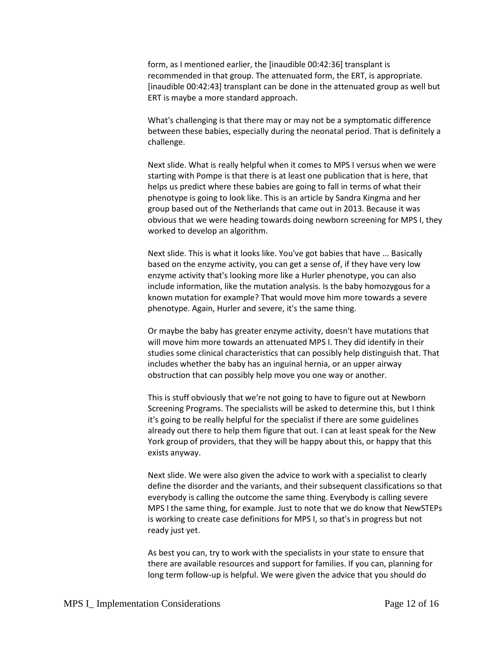form, as I mentioned earlier, the [inaudible 00:42:36] transplant is recommended in that group. The attenuated form, the ERT, is appropriate. [inaudible 00:42:43] transplant can be done in the attenuated group as well but ERT is maybe a more standard approach.

What's challenging is that there may or may not be a symptomatic difference between these babies, especially during the neonatal period. That is definitely a challenge.

Next slide. What is really helpful when it comes to MPS I versus when we were starting with Pompe is that there is at least one publication that is here, that helps us predict where these babies are going to fall in terms of what their phenotype is going to look like. This is an article by Sandra Kingma and her group based out of the Netherlands that came out in 2013. Because it was obvious that we were heading towards doing newborn screening for MPS I, they worked to develop an algorithm.

Next slide. This is what it looks like. You've got babies that have ... Basically based on the enzyme activity, you can get a sense of, if they have very low enzyme activity that's looking more like a Hurler phenotype, you can also include information, like the mutation analysis. Is the baby homozygous for a known mutation for example? That would move him more towards a severe phenotype. Again, Hurler and severe, it's the same thing.

Or maybe the baby has greater enzyme activity, doesn't have mutations that will move him more towards an attenuated MPS I. They did identify in their studies some clinical characteristics that can possibly help distinguish that. That includes whether the baby has an inguinal hernia, or an upper airway obstruction that can possibly help move you one way or another.

This is stuff obviously that we're not going to have to figure out at Newborn Screening Programs. The specialists will be asked to determine this, but I think it's going to be really helpful for the specialist if there are some guidelines already out there to help them figure that out. I can at least speak for the New York group of providers, that they will be happy about this, or happy that this exists anyway.

Next slide. We were also given the advice to work with a specialist to clearly define the disorder and the variants, and their subsequent classifications so that everybody is calling the outcome the same thing. Everybody is calling severe MPS I the same thing, for example. Just to note that we do know that NewSTEPs is working to create case definitions for MPS I, so that's in progress but not ready just yet.

As best you can, try to work with the specialists in your state to ensure that there are available resources and support for families. If you can, planning for long term follow-up is helpful. We were given the advice that you should do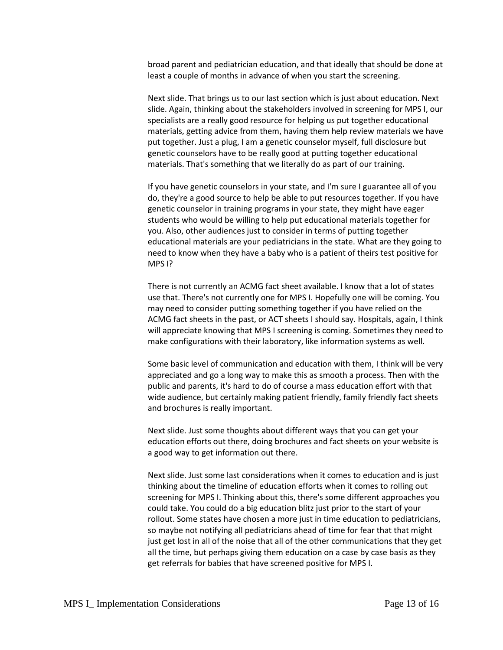broad parent and pediatrician education, and that ideally that should be done at least a couple of months in advance of when you start the screening.

Next slide. That brings us to our last section which is just about education. Next slide. Again, thinking about the stakeholders involved in screening for MPS I, our specialists are a really good resource for helping us put together educational materials, getting advice from them, having them help review materials we have put together. Just a plug, I am a genetic counselor myself, full disclosure but genetic counselors have to be really good at putting together educational materials. That's something that we literally do as part of our training.

If you have genetic counselors in your state, and I'm sure I guarantee all of you do, they're a good source to help be able to put resources together. If you have genetic counselor in training programs in your state, they might have eager students who would be willing to help put educational materials together for you. Also, other audiences just to consider in terms of putting together educational materials are your pediatricians in the state. What are they going to need to know when they have a baby who is a patient of theirs test positive for MPS I?

There is not currently an ACMG fact sheet available. I know that a lot of states use that. There's not currently one for MPS I. Hopefully one will be coming. You may need to consider putting something together if you have relied on the ACMG fact sheets in the past, or ACT sheets I should say. Hospitals, again, I think will appreciate knowing that MPS I screening is coming. Sometimes they need to make configurations with their laboratory, like information systems as well.

Some basic level of communication and education with them, I think will be very appreciated and go a long way to make this as smooth a process. Then with the public and parents, it's hard to do of course a mass education effort with that wide audience, but certainly making patient friendly, family friendly fact sheets and brochures is really important.

Next slide. Just some thoughts about different ways that you can get your education efforts out there, doing brochures and fact sheets on your website is a good way to get information out there.

Next slide. Just some last considerations when it comes to education and is just thinking about the timeline of education efforts when it comes to rolling out screening for MPS I. Thinking about this, there's some different approaches you could take. You could do a big education blitz just prior to the start of your rollout. Some states have chosen a more just in time education to pediatricians, so maybe not notifying all pediatricians ahead of time for fear that that might just get lost in all of the noise that all of the other communications that they get all the time, but perhaps giving them education on a case by case basis as they get referrals for babies that have screened positive for MPS I.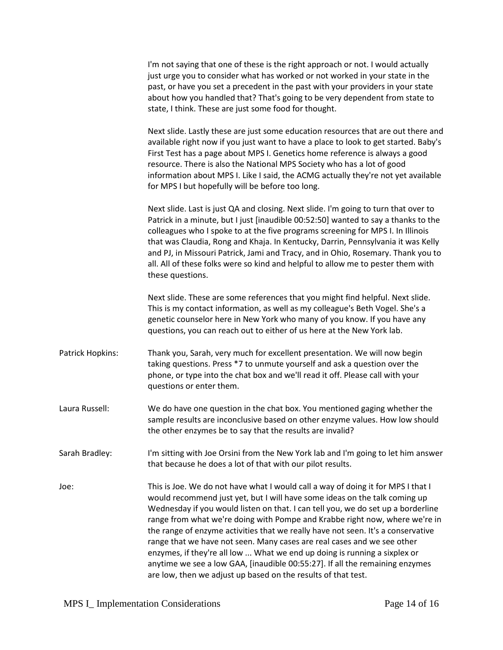|                  | I'm not saying that one of these is the right approach or not. I would actually<br>just urge you to consider what has worked or not worked in your state in the<br>past, or have you set a precedent in the past with your providers in your state<br>about how you handled that? That's going to be very dependent from state to<br>state, I think. These are just some food for thought.                                                                                                                                                                                                                                                                                                                                     |
|------------------|--------------------------------------------------------------------------------------------------------------------------------------------------------------------------------------------------------------------------------------------------------------------------------------------------------------------------------------------------------------------------------------------------------------------------------------------------------------------------------------------------------------------------------------------------------------------------------------------------------------------------------------------------------------------------------------------------------------------------------|
|                  | Next slide. Lastly these are just some education resources that are out there and<br>available right now if you just want to have a place to look to get started. Baby's<br>First Test has a page about MPS I. Genetics home reference is always a good<br>resource. There is also the National MPS Society who has a lot of good<br>information about MPS I. Like I said, the ACMG actually they're not yet available<br>for MPS I but hopefully will be before too long.                                                                                                                                                                                                                                                     |
|                  | Next slide. Last is just QA and closing. Next slide. I'm going to turn that over to<br>Patrick in a minute, but I just [inaudible 00:52:50] wanted to say a thanks to the<br>colleagues who I spoke to at the five programs screening for MPS I. In Illinois<br>that was Claudia, Rong and Khaja. In Kentucky, Darrin, Pennsylvania it was Kelly<br>and PJ, in Missouri Patrick, Jami and Tracy, and in Ohio, Rosemary. Thank you to<br>all. All of these folks were so kind and helpful to allow me to pester them with<br>these questions.                                                                                                                                                                                   |
|                  | Next slide. These are some references that you might find helpful. Next slide.<br>This is my contact information, as well as my colleague's Beth Vogel. She's a<br>genetic counselor here in New York who many of you know. If you have any<br>questions, you can reach out to either of us here at the New York lab.                                                                                                                                                                                                                                                                                                                                                                                                          |
| Patrick Hopkins: | Thank you, Sarah, very much for excellent presentation. We will now begin<br>taking questions. Press *7 to unmute yourself and ask a question over the<br>phone, or type into the chat box and we'll read it off. Please call with your<br>questions or enter them.                                                                                                                                                                                                                                                                                                                                                                                                                                                            |
| Laura Russell:   | We do have one question in the chat box. You mentioned gaging whether the<br>sample results are inconclusive based on other enzyme values. How low should<br>the other enzymes be to say that the results are invalid?                                                                                                                                                                                                                                                                                                                                                                                                                                                                                                         |
| Sarah Bradley:   | I'm sitting with Joe Orsini from the New York lab and I'm going to let him answer<br>that because he does a lot of that with our pilot results.                                                                                                                                                                                                                                                                                                                                                                                                                                                                                                                                                                                |
| Joe:             | This is Joe. We do not have what I would call a way of doing it for MPS I that I<br>would recommend just yet, but I will have some ideas on the talk coming up<br>Wednesday if you would listen on that. I can tell you, we do set up a borderline<br>range from what we're doing with Pompe and Krabbe right now, where we're in<br>the range of enzyme activities that we really have not seen. It's a conservative<br>range that we have not seen. Many cases are real cases and we see other<br>enzymes, if they're all low  What we end up doing is running a sixplex or<br>anytime we see a low GAA, [inaudible 00:55:27]. If all the remaining enzymes<br>are low, then we adjust up based on the results of that test. |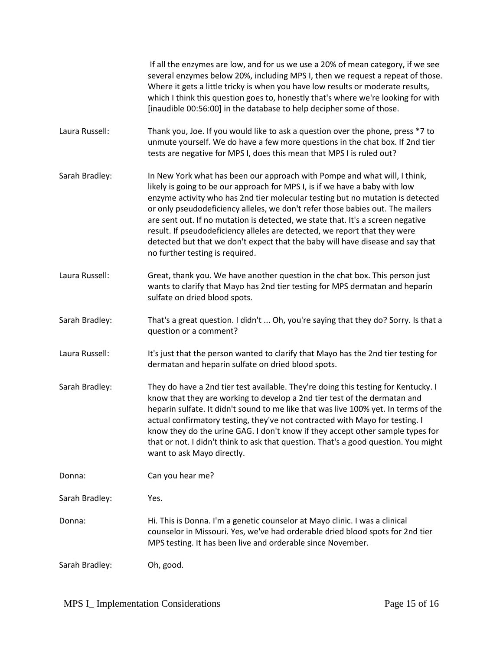|                | If all the enzymes are low, and for us we use a 20% of mean category, if we see<br>several enzymes below 20%, including MPS I, then we request a repeat of those.<br>Where it gets a little tricky is when you have low results or moderate results,<br>which I think this question goes to, honestly that's where we're looking for with<br>[inaudible 00:56:00] in the database to help decipher some of those.                                                                                                                                                                                                  |
|----------------|--------------------------------------------------------------------------------------------------------------------------------------------------------------------------------------------------------------------------------------------------------------------------------------------------------------------------------------------------------------------------------------------------------------------------------------------------------------------------------------------------------------------------------------------------------------------------------------------------------------------|
| Laura Russell: | Thank you, Joe. If you would like to ask a question over the phone, press *7 to<br>unmute yourself. We do have a few more questions in the chat box. If 2nd tier<br>tests are negative for MPS I, does this mean that MPS I is ruled out?                                                                                                                                                                                                                                                                                                                                                                          |
| Sarah Bradley: | In New York what has been our approach with Pompe and what will, I think,<br>likely is going to be our approach for MPS I, is if we have a baby with low<br>enzyme activity who has 2nd tier molecular testing but no mutation is detected<br>or only pseudodeficiency alleles, we don't refer those babies out. The mailers<br>are sent out. If no mutation is detected, we state that. It's a screen negative<br>result. If pseudodeficiency alleles are detected, we report that they were<br>detected but that we don't expect that the baby will have disease and say that<br>no further testing is required. |
| Laura Russell: | Great, thank you. We have another question in the chat box. This person just<br>wants to clarify that Mayo has 2nd tier testing for MPS dermatan and heparin<br>sulfate on dried blood spots.                                                                                                                                                                                                                                                                                                                                                                                                                      |
| Sarah Bradley: | That's a great question. I didn't  Oh, you're saying that they do? Sorry. Is that a<br>question or a comment?                                                                                                                                                                                                                                                                                                                                                                                                                                                                                                      |
| Laura Russell: | It's just that the person wanted to clarify that Mayo has the 2nd tier testing for<br>dermatan and heparin sulfate on dried blood spots.                                                                                                                                                                                                                                                                                                                                                                                                                                                                           |
| Sarah Bradley: | They do have a 2nd tier test available. They're doing this testing for Kentucky. I<br>know that they are working to develop a 2nd tier test of the dermatan and<br>heparin sulfate. It didn't sound to me like that was live 100% yet. In terms of the<br>actual confirmatory testing, they've not contracted with Mayo for testing. I<br>know they do the urine GAG. I don't know if they accept other sample types for<br>that or not. I didn't think to ask that question. That's a good question. You might<br>want to ask Mayo directly.                                                                      |
| Donna:         | Can you hear me?                                                                                                                                                                                                                                                                                                                                                                                                                                                                                                                                                                                                   |
| Sarah Bradley: | Yes.                                                                                                                                                                                                                                                                                                                                                                                                                                                                                                                                                                                                               |
| Donna:         | Hi. This is Donna. I'm a genetic counselor at Mayo clinic. I was a clinical<br>counselor in Missouri. Yes, we've had orderable dried blood spots for 2nd tier<br>MPS testing. It has been live and orderable since November.                                                                                                                                                                                                                                                                                                                                                                                       |
| Sarah Bradley: | Oh, good.                                                                                                                                                                                                                                                                                                                                                                                                                                                                                                                                                                                                          |